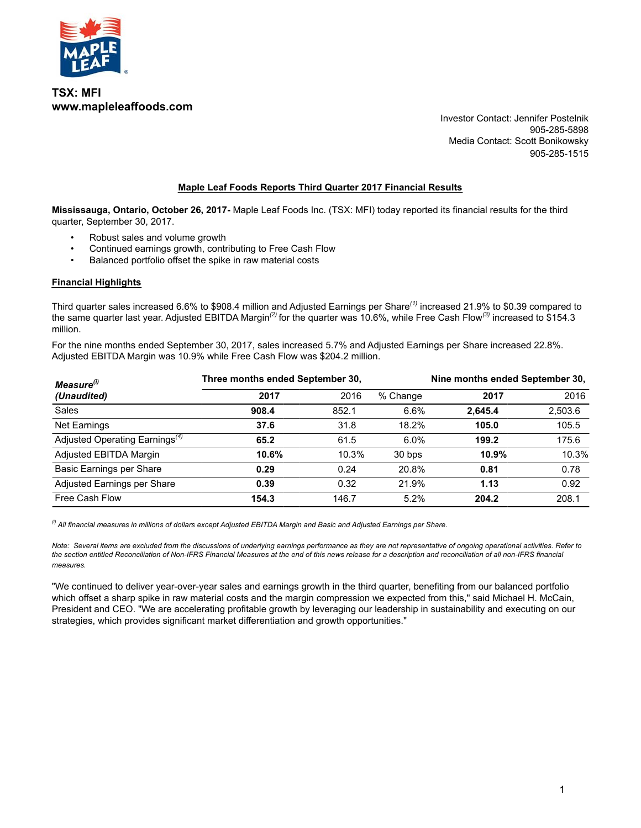

**TSX: MFI www.mapleleaffoods.com**

Investor Contact: Jennifer Postelnik 905-285-5898 Media Contact: Scott Bonikowsky 905-285-1515

#### **Maple Leaf Foods Reports Third Quarter 2017 Financial Results**

**Mississauga, Ontario, October 26, 2017-** Maple Leaf Foods Inc. (TSX: MFI) today reported its financial results for the third quarter, September 30, 2017.

- Robust sales and volume growth
- Continued earnings growth, contributing to Free Cash Flow
- Balanced portfolio offset the spike in raw material costs

#### **Financial Highlights**

Third quarter sales increased 6.6% to \$908.4 million and Adjusted Earnings per Share*(1)* increased 21.9% to \$0.39 compared to the same quarter last year. Adjusted EBITDA Margin*(2)* for the quarter was 10.6%, while Free Cash Flow*(3)* increased to \$154.3 million.

For the nine months ended September 30, 2017, sales increased 5.7% and Adjusted Earnings per Share increased 22.8%. Adjusted EBITDA Margin was 10.9% while Free Cash Flow was \$204.2 million.

| Measure <sup>(i)</sup>                     | Three months ended September 30, |       |          | Nine months ended September 30, |         |
|--------------------------------------------|----------------------------------|-------|----------|---------------------------------|---------|
| 2017<br>(Unaudited)                        |                                  | 2016  | % Change | 2017                            | 2016    |
| Sales                                      | 908.4                            | 852.1 | 6.6%     | 2.645.4                         | 2,503.6 |
| Net Earnings                               | 37.6                             | 31.8  | 18.2%    | 105.0                           | 105.5   |
| Adjusted Operating Earnings <sup>(4)</sup> | 65.2                             | 61.5  | 6.0%     | 199.2                           | 175.6   |
| Adjusted EBITDA Margin                     | 10.6%                            | 10.3% | 30 bps   | 10.9%                           | 10.3%   |
| Basic Earnings per Share                   | 0.29                             | 0.24  | 20.8%    | 0.81                            | 0.78    |
| Adjusted Earnings per Share                | 0.39                             | 0.32  | 21.9%    | 1.13                            | 0.92    |
| Free Cash Flow                             | 154.3                            | 146.7 | 5.2%     | 204.2                           | 208.1   |

*(i) All financial measures in millions of dollars except Adjusted EBITDA Margin and Basic and Adjusted Earnings per Share.*

*Note: Several items are excluded from the discussions of underlying earnings performance as they are not representative of ongoing operational activities. Refer to the section entitled Reconciliation of Non-IFRS Financial Measures at the end of this news release for a description and reconciliation of all non-IFRS financial measures.* 

"We continued to deliver year-over-year sales and earnings growth in the third quarter, benefiting from our balanced portfolio which offset a sharp spike in raw material costs and the margin compression we expected from this," said Michael H. McCain, President and CEO. "We are accelerating profitable growth by leveraging our leadership in sustainability and executing on our strategies, which provides significant market differentiation and growth opportunities."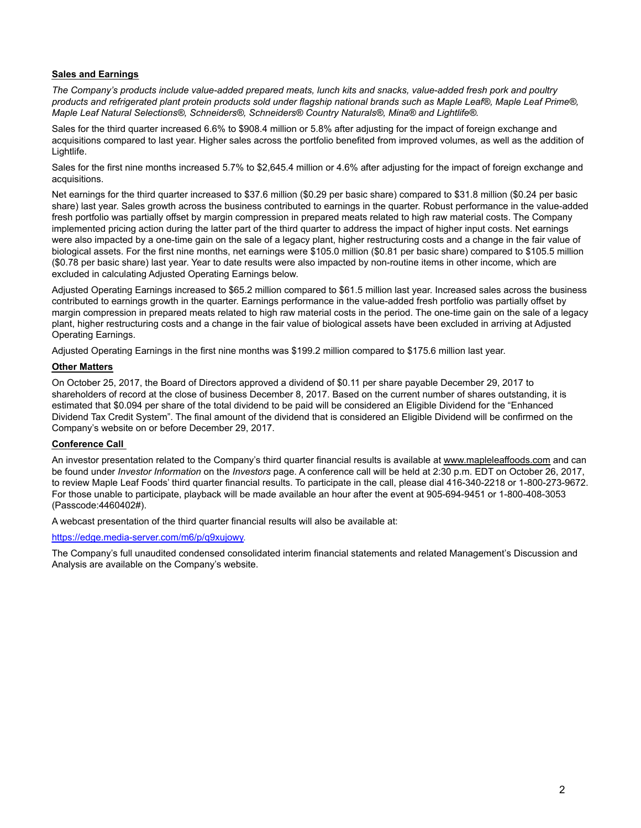#### **Sales and Earnings**

*The Company's products include value-added prepared meats, lunch kits and snacks, value-added fresh pork and poultry products and refrigerated plant protein products sold under flagship national brands such as Maple Leaf®, Maple Leaf Prime®, Maple Leaf Natural Selections®, Schneiders®, Schneiders® Country Naturals®, Mina® and Lightlife®.*

Sales for the third quarter increased 6.6% to \$908.4 million or 5.8% after adjusting for the impact of foreign exchange and acquisitions compared to last year. Higher sales across the portfolio benefited from improved volumes, as well as the addition of Lightlife.

Sales for the first nine months increased 5.7% to \$2,645.4 million or 4.6% after adjusting for the impact of foreign exchange and acquisitions.

Net earnings for the third quarter increased to \$37.6 million (\$0.29 per basic share) compared to \$31.8 million (\$0.24 per basic share) last year. Sales growth across the business contributed to earnings in the quarter. Robust performance in the value-added fresh portfolio was partially offset by margin compression in prepared meats related to high raw material costs. The Company implemented pricing action during the latter part of the third quarter to address the impact of higher input costs. Net earnings were also impacted by a one-time gain on the sale of a legacy plant, higher restructuring costs and a change in the fair value of biological assets. For the first nine months, net earnings were \$105.0 million (\$0.81 per basic share) compared to \$105.5 million (\$0.78 per basic share) last year. Year to date results were also impacted by non-routine items in other income, which are excluded in calculating Adjusted Operating Earnings below.

Adjusted Operating Earnings increased to \$65.2 million compared to \$61.5 million last year. Increased sales across the business contributed to earnings growth in the quarter. Earnings performance in the value-added fresh portfolio was partially offset by margin compression in prepared meats related to high raw material costs in the period. The one-time gain on the sale of a legacy plant, higher restructuring costs and a change in the fair value of biological assets have been excluded in arriving at Adjusted Operating Earnings.

Adjusted Operating Earnings in the first nine months was \$199.2 million compared to \$175.6 million last year.

#### **Other Matters**

On October 25, 2017, the Board of Directors approved a dividend of \$0.11 per share payable December 29, 2017 to shareholders of record at the close of business December 8, 2017. Based on the current number of shares outstanding, it is estimated that \$0.094 per share of the total dividend to be paid will be considered an Eligible Dividend for the "Enhanced Dividend Tax Credit System". The final amount of the dividend that is considered an Eligible Dividend will be confirmed on the Company's website on or before December 29, 2017.

#### **Conference Call**

An investor presentation related to the Company's third quarter financial results is available at www.mapleleaffoods.com and can be found under *Investor Information* on the *Investors* page. A conference call will be held at 2:30 p.m. EDT on October 26, 2017, to review Maple Leaf Foods' third quarter financial results. To participate in the call, please dial 416-340-2218 or 1-800-273-9672. For those unable to participate, playback will be made available an hour after the event at 905-694-9451 or 1-800-408-3053 (Passcode:4460402#).

A webcast presentation of the third quarter financial results will also be available at:

#### https://edge.media-server.com/m6/p/q9xujowy.

The Company's full unaudited condensed consolidated interim financial statements and related Management's Discussion and Analysis are available on the Company's website.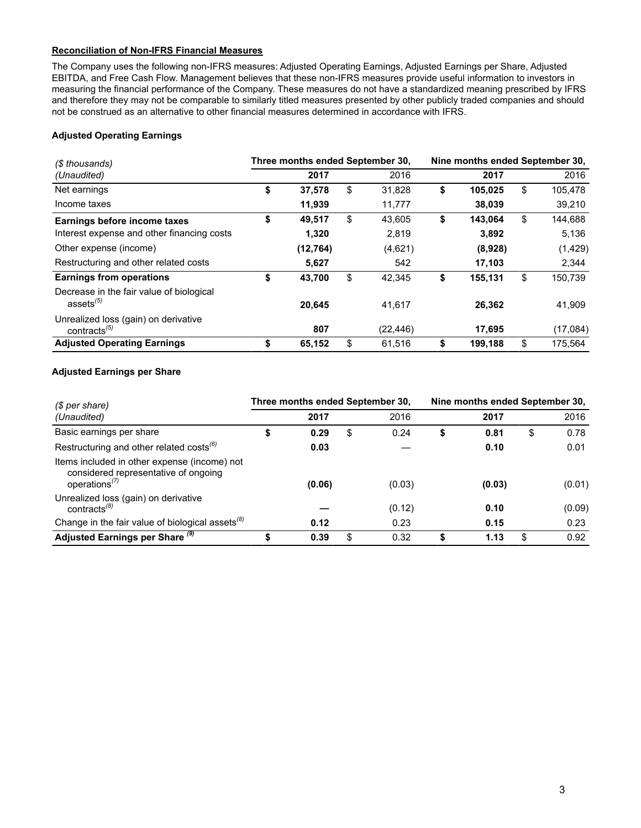#### **Reconciliation of Non-IFRS Financial Measures**

The Company uses the following non-IFRS measures: Adjusted Operating Earnings, Adjusted Earnings per Share, Adjusted EBITDA, and Free Cash Flow. Management believes that these non-IFRS measures provide useful information to investors in measuring the financial performance of the Company. These measures do not have a standardized meaning prescribed by IFRS and therefore they may not be comparable to similarly titled measures presented by other publicly traded companies and should not be construed as an alternative to other financial measures determined in accordance with IFRS.

#### **Adjusted Operating Earnings**

| (\$ thousands)                                                   | Three months ended September 30, |              | Nine months ended September 30, |         |    |          |  |  |  |
|------------------------------------------------------------------|----------------------------------|--------------|---------------------------------|---------|----|----------|--|--|--|
| (Unaudited)                                                      | 2017                             | 2016         |                                 | 2017    |    | 2016     |  |  |  |
| Net earnings                                                     | \$<br>37,578                     | \$<br>31,828 | \$                              | 105,025 | \$ | 105,478  |  |  |  |
| Income taxes                                                     | 11,939                           | 11,777       |                                 | 38,039  |    | 39,210   |  |  |  |
| Earnings before income taxes                                     | \$<br>49,517                     | \$<br>43,605 | \$                              | 143.064 | \$ | 144,688  |  |  |  |
| Interest expense and other financing costs                       | 1,320                            | 2,819        |                                 | 3,892   |    | 5,136    |  |  |  |
| Other expense (income)                                           | (12, 764)                        | (4,621)      |                                 | (8,928) |    | (1,429)  |  |  |  |
| Restructuring and other related costs                            | 5,627                            | 542          |                                 | 17,103  |    | 2,344    |  |  |  |
| <b>Earnings from operations</b>                                  | \$<br>43,700                     | \$<br>42,345 | \$                              | 155,131 | \$ | 150,739  |  |  |  |
| Decrease in the fair value of biological<br>ases <sup>(5)</sup>  | 20,645                           | 41,617       |                                 | 26,362  |    | 41,909   |  |  |  |
| Unrealized loss (gain) on derivative<br>contracts <sup>(5)</sup> | 807                              | (22, 446)    |                                 | 17,695  |    | (17,084) |  |  |  |
| <b>Adjusted Operating Earnings</b>                               | \$<br>65,152                     | \$<br>61,516 | \$                              | 199,188 | \$ | 175,564  |  |  |  |

#### **Adjusted Earnings per Share**

| (\$ per share)                                                                                                                 | Three months ended September 30, |            | Nine months ended September 30, |        |    |        |  |  |
|--------------------------------------------------------------------------------------------------------------------------------|----------------------------------|------------|---------------------------------|--------|----|--------|--|--|
| (Unaudited)                                                                                                                    | 2017                             | 2016       |                                 | 2017   |    | 2016   |  |  |
| Basic earnings per share                                                                                                       | \$<br>0.29                       | \$<br>0.24 | \$                              | 0.81   | \$ | 0.78   |  |  |
| Restructuring and other related costs <sup>(6)</sup>                                                                           | 0.03                             |            |                                 | 0.10   |    | 0.01   |  |  |
| Items included in other expense (income) not<br>considered representative of ongoing<br>operations <sup><math>(7)</math></sup> | (0.06)                           | (0.03)     |                                 | (0.03) |    | (0.01) |  |  |
| Unrealized loss (gain) on derivative<br>contracts <sup>(8)</sup>                                                               |                                  | (0.12)     |                                 | 0.10   |    | (0.09) |  |  |
| Change in the fair value of biological assets $(8)$                                                                            | 0.12                             | 0.23       |                                 | 0.15   |    | 0.23   |  |  |
| Adjusted Earnings per Share <sup>(9)</sup>                                                                                     | \$<br>0.39                       | \$<br>0.32 | S                               | 1.13   | \$ | 0.92   |  |  |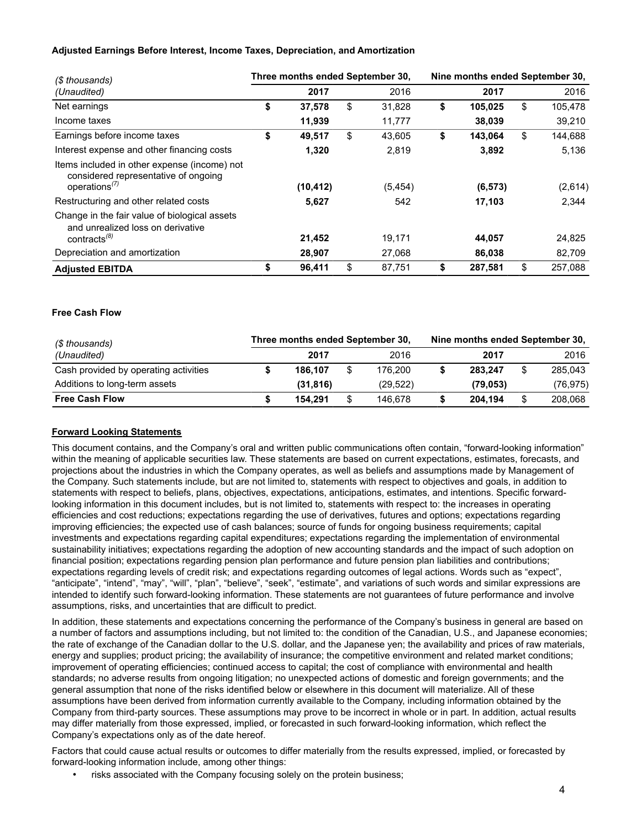#### **Adjusted Earnings Before Interest, Income Taxes, Depreciation, and Amortization**

| (\$ thousands)                                                                                                                 | Three months ended September 30, |              | Nine months ended September 30, |          |    |         |  |  |  |  |
|--------------------------------------------------------------------------------------------------------------------------------|----------------------------------|--------------|---------------------------------|----------|----|---------|--|--|--|--|
| (Unaudited)                                                                                                                    | 2017                             | 2016         |                                 | 2017     |    | 2016    |  |  |  |  |
| Net earnings                                                                                                                   | \$<br>37,578                     | \$<br>31,828 | \$                              | 105,025  | \$ | 105,478 |  |  |  |  |
| Income taxes                                                                                                                   | 11,939                           | 11.777       |                                 | 38,039   |    | 39,210  |  |  |  |  |
| Earnings before income taxes                                                                                                   | \$<br>49,517                     | \$<br>43,605 | \$                              | 143.064  | \$ | 144,688 |  |  |  |  |
| Interest expense and other financing costs                                                                                     | 1,320                            | 2,819        |                                 | 3,892    |    | 5,136   |  |  |  |  |
| Items included in other expense (income) not<br>considered representative of ongoing<br>operations <sup><math>(7)</math></sup> | (10, 412)                        | (5, 454)     |                                 | (6, 573) |    | (2,614) |  |  |  |  |
| Restructuring and other related costs                                                                                          | 5,627                            | 542          |                                 | 17,103   |    | 2.344   |  |  |  |  |
| Change in the fair value of biological assets<br>and unrealized loss on derivative<br>contracts <sup>(8)</sup>                 | 21,452                           | 19,171       |                                 | 44,057   |    | 24,825  |  |  |  |  |
| Depreciation and amortization                                                                                                  | 28,907                           | 27,068       |                                 | 86,038   |    | 82,709  |  |  |  |  |
| <b>Adiusted EBITDA</b>                                                                                                         | \$<br>96,411                     | \$<br>87,751 | \$                              | 287,581  | \$ | 257,088 |  |  |  |  |

#### **Free Cash Flow**

| (\$ thousands)                        | Three months ended September 30, |           | Nine months ended September 30, |           |  |           |  |
|---------------------------------------|----------------------------------|-----------|---------------------------------|-----------|--|-----------|--|
| (Unaudited)                           | 2017                             | 2016      |                                 | 2017      |  | 2016      |  |
| Cash provided by operating activities | 186.107                          | 176.200   |                                 | 283.247   |  | 285,043   |  |
| Additions to long-term assets         | (31, 816)                        | (29, 522) |                                 | (79, 053) |  | (76, 975) |  |
| <b>Free Cash Flow</b>                 | 154.291                          | 146.678   |                                 | 204.194   |  | 208,068   |  |

#### **Forward Looking Statements**

This document contains, and the Company's oral and written public communications often contain, "forward-looking information" within the meaning of applicable securities law. These statements are based on current expectations, estimates, forecasts, and projections about the industries in which the Company operates, as well as beliefs and assumptions made by Management of the Company. Such statements include, but are not limited to, statements with respect to objectives and goals, in addition to statements with respect to beliefs, plans, objectives, expectations, anticipations, estimates, and intentions. Specific forwardlooking information in this document includes, but is not limited to, statements with respect to: the increases in operating efficiencies and cost reductions; expectations regarding the use of derivatives, futures and options; expectations regarding improving efficiencies; the expected use of cash balances; source of funds for ongoing business requirements; capital investments and expectations regarding capital expenditures; expectations regarding the implementation of environmental sustainability initiatives; expectations regarding the adoption of new accounting standards and the impact of such adoption on financial position; expectations regarding pension plan performance and future pension plan liabilities and contributions; expectations regarding levels of credit risk; and expectations regarding outcomes of legal actions. Words such as "expect", "anticipate", "intend", "may", "will", "plan", "believe", "seek", "estimate", and variations of such words and similar expressions are intended to identify such forward-looking information. These statements are not guarantees of future performance and involve assumptions, risks, and uncertainties that are difficult to predict.

In addition, these statements and expectations concerning the performance of the Company's business in general are based on a number of factors and assumptions including, but not limited to: the condition of the Canadian, U.S., and Japanese economies; the rate of exchange of the Canadian dollar to the U.S. dollar, and the Japanese yen; the availability and prices of raw materials, energy and supplies; product pricing; the availability of insurance; the competitive environment and related market conditions; improvement of operating efficiencies; continued access to capital; the cost of compliance with environmental and health standards; no adverse results from ongoing litigation; no unexpected actions of domestic and foreign governments; and the general assumption that none of the risks identified below or elsewhere in this document will materialize. All of these assumptions have been derived from information currently available to the Company, including information obtained by the Company from third-party sources. These assumptions may prove to be incorrect in whole or in part. In addition, actual results may differ materially from those expressed, implied, or forecasted in such forward-looking information, which reflect the Company's expectations only as of the date hereof.

Factors that could cause actual results or outcomes to differ materially from the results expressed, implied, or forecasted by forward-looking information include, among other things:

risks associated with the Company focusing solely on the protein business;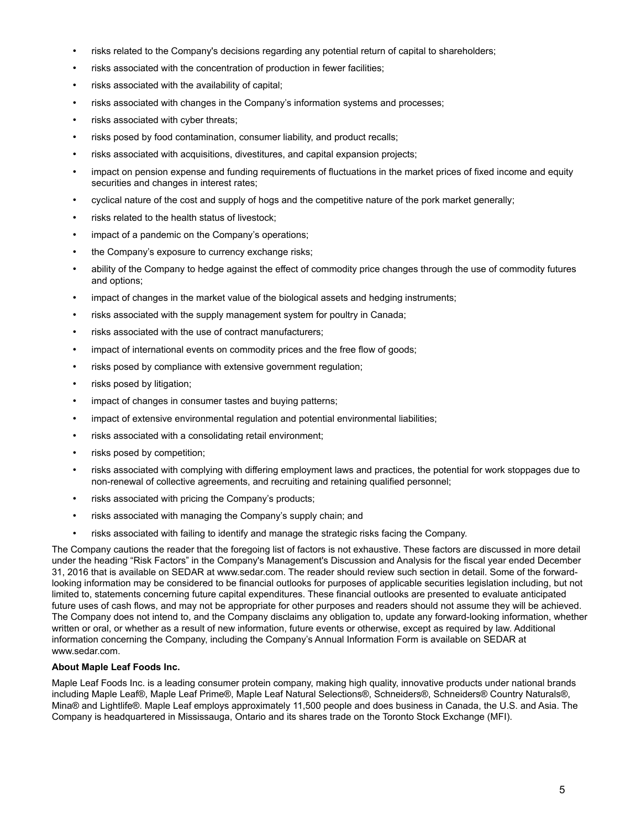- risks related to the Company's decisions regarding any potential return of capital to shareholders;
- risks associated with the concentration of production in fewer facilities;
- risks associated with the availability of capital;
- risks associated with changes in the Company's information systems and processes;
- risks associated with cyber threats;
- risks posed by food contamination, consumer liability, and product recalls;
- risks associated with acquisitions, divestitures, and capital expansion projects;
- impact on pension expense and funding requirements of fluctuations in the market prices of fixed income and equity securities and changes in interest rates;
- cyclical nature of the cost and supply of hogs and the competitive nature of the pork market generally;
- risks related to the health status of livestock;
- impact of a pandemic on the Company's operations;
- the Company's exposure to currency exchange risks;
- ability of the Company to hedge against the effect of commodity price changes through the use of commodity futures and options;
- impact of changes in the market value of the biological assets and hedging instruments;
- risks associated with the supply management system for poultry in Canada;
- risks associated with the use of contract manufacturers;
- impact of international events on commodity prices and the free flow of goods;
- risks posed by compliance with extensive government regulation;
- risks posed by litigation;
- impact of changes in consumer tastes and buying patterns;
- impact of extensive environmental regulation and potential environmental liabilities;
- risks associated with a consolidating retail environment;
- risks posed by competition;
- risks associated with complying with differing employment laws and practices, the potential for work stoppages due to non-renewal of collective agreements, and recruiting and retaining qualified personnel;
- risks associated with pricing the Company's products;
- risks associated with managing the Company's supply chain; and
- risks associated with failing to identify and manage the strategic risks facing the Company.

The Company cautions the reader that the foregoing list of factors is not exhaustive. These factors are discussed in more detail under the heading "Risk Factors" in the Company's Management's Discussion and Analysis for the fiscal year ended December 31, 2016 that is available on SEDAR at www.sedar.com. The reader should review such section in detail. Some of the forwardlooking information may be considered to be financial outlooks for purposes of applicable securities legislation including, but not limited to, statements concerning future capital expenditures. These financial outlooks are presented to evaluate anticipated future uses of cash flows, and may not be appropriate for other purposes and readers should not assume they will be achieved. The Company does not intend to, and the Company disclaims any obligation to, update any forward-looking information, whether written or oral, or whether as a result of new information, future events or otherwise, except as required by law. Additional information concerning the Company, including the Company's Annual Information Form is available on SEDAR at www.sedar.com.

#### **About Maple Leaf Foods Inc.**

Maple Leaf Foods Inc. is a leading consumer protein company, making high quality, innovative products under national brands including Maple Leaf®, Maple Leaf Prime®, Maple Leaf Natural Selections®, Schneiders®, Schneiders® Country Naturals®, Mina® and Lightlife®. Maple Leaf employs approximately 11,500 people and does business in Canada, the U.S. and Asia. The Company is headquartered in Mississauga, Ontario and its shares trade on the Toronto Stock Exchange (MFI).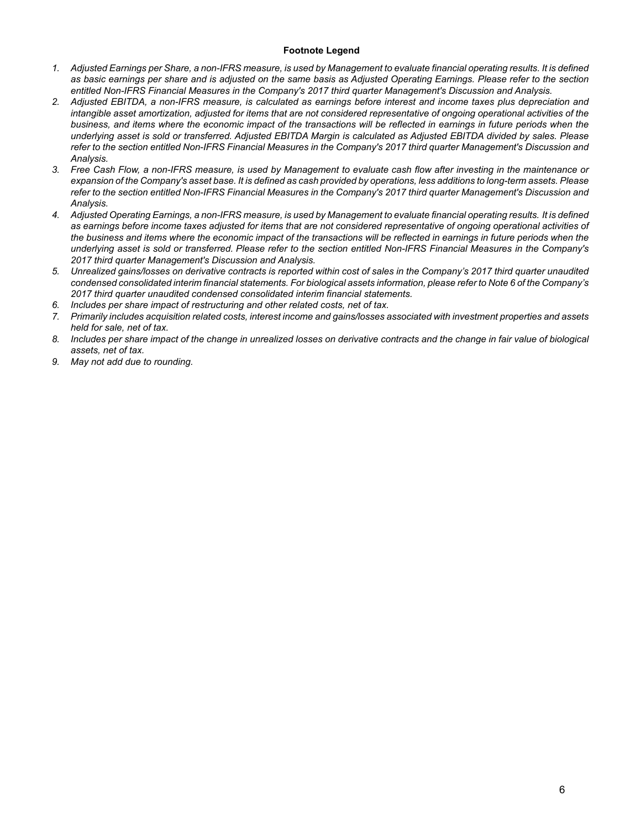#### **Footnote Legend**

- *1. Adjusted Earnings per Share, a non-IFRS measure, is used by Management to evaluate financial operating results. It is defined as basic earnings per share and is adjusted on the same basis as Adjusted Operating Earnings. Please refer to the section entitled Non-IFRS Financial Measures in the Company's 2017 third quarter Management's Discussion and Analysis.*
- *2. Adjusted EBITDA, a non-IFRS measure, is calculated as earnings before interest and income taxes plus depreciation and intangible asset amortization, adjusted for items that are not considered representative of ongoing operational activities of the business, and items where the economic impact of the transactions will be reflected in earnings in future periods when the underlying asset is sold or transferred. Adjusted EBITDA Margin is calculated as Adjusted EBITDA divided by sales. Please refer to the section entitled Non-IFRS Financial Measures in the Company's 2017 third quarter Management's Discussion and Analysis.*
- *3. Free Cash Flow, a non-IFRS measure, is used by Management to evaluate cash flow after investing in the maintenance or expansion of the Company's asset base. It is defined as cash provided by operations, less additions to long-term assets. Please refer to the section entitled Non-IFRS Financial Measures in the Company's 2017 third quarter Management's Discussion and Analysis.*
- *4. Adjusted Operating Earnings, a non-IFRS measure, is used by Management to evaluate financial operating results. It is defined as earnings before income taxes adjusted for items that are not considered representative of ongoing operational activities of the business and items where the economic impact of the transactions will be reflected in earnings in future periods when the underlying asset is sold or transferred. Please refer to the section entitled Non-IFRS Financial Measures in the Company's 2017 third quarter Management's Discussion and Analysis.*
- *5. Unrealized gains/losses on derivative contracts is reported within cost of sales in the Company's 2017 third quarter unaudited condensed consolidated interim financial statements. For biological assets information, please refer to Note 6 of the Company's 2017 third quarter unaudited condensed consolidated interim financial statements.*
- *6. Includes per share impact of restructuring and other related costs, net of tax.*
- *7. Primarily includes acquisition related costs, interest income and gains/losses associated with investment properties and assets held for sale, net of tax.*
- *8. Includes per share impact of the change in unrealized losses on derivative contracts and the change in fair value of biological assets, net of tax.*
- *9. May not add due to rounding.*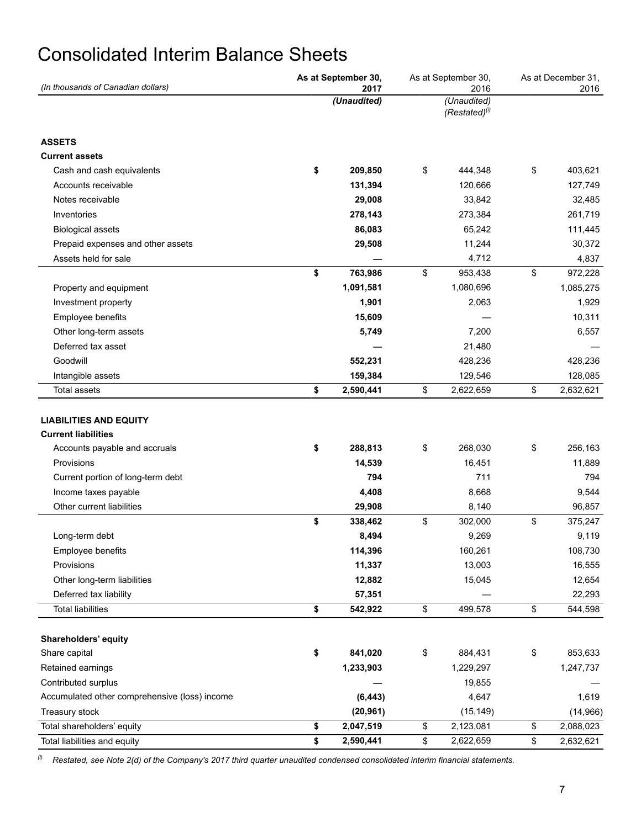## Consolidated Interim Balance Sheets

| (In thousands of Canadian dollars)            | As at September 30, | As at September 30, | As at December 31, |           |  |
|-----------------------------------------------|---------------------|---------------------|--------------------|-----------|--|
|                                               | 2017<br>(Unaudited) | 2016<br>(Unaudited) |                    | 2016      |  |
|                                               |                     | $(Restated)^{(i)}$  |                    |           |  |
| <b>ASSETS</b>                                 |                     |                     |                    |           |  |
| <b>Current assets</b>                         |                     |                     |                    |           |  |
| Cash and cash equivalents                     | \$<br>209,850       | \$<br>444,348       | \$                 | 403,621   |  |
| Accounts receivable                           | 131,394             | 120,666             |                    | 127,749   |  |
| Notes receivable                              | 29,008              | 33,842              |                    | 32,485    |  |
| Inventories                                   | 278,143             | 273,384             |                    | 261,719   |  |
| <b>Biological assets</b>                      | 86,083              | 65,242              |                    | 111,445   |  |
| Prepaid expenses and other assets             | 29,508              | 11,244              |                    | 30,372    |  |
| Assets held for sale                          |                     | 4,712               |                    | 4,837     |  |
|                                               | \$<br>763,986       | \$<br>953,438       | \$                 | 972,228   |  |
| Property and equipment                        | 1,091,581           | 1,080,696           |                    | 1,085,275 |  |
| Investment property                           | 1,901               | 2,063               |                    | 1,929     |  |
| Employee benefits                             | 15,609              |                     |                    | 10,311    |  |
| Other long-term assets                        | 5,749               | 7,200               |                    | 6,557     |  |
| Deferred tax asset                            |                     | 21,480              |                    |           |  |
| Goodwill                                      | 552,231             | 428,236             |                    | 428,236   |  |
| Intangible assets                             | 159,384             | 129,546             |                    | 128,085   |  |
| <b>Total assets</b>                           | \$<br>2,590,441     | \$<br>2,622,659     | \$                 | 2,632,621 |  |
|                                               |                     |                     |                    |           |  |
| <b>LIABILITIES AND EQUITY</b>                 |                     |                     |                    |           |  |
| <b>Current liabilities</b>                    |                     |                     |                    |           |  |
| Accounts payable and accruals                 | \$<br>288,813       | \$<br>268,030       | \$                 | 256,163   |  |
| Provisions                                    | 14,539              | 16,451              |                    | 11,889    |  |
| Current portion of long-term debt             | 794                 | 711                 |                    | 794       |  |
| Income taxes payable                          | 4,408               | 8,668               |                    | 9,544     |  |
| Other current liabilities                     | 29,908              | 8,140               |                    | 96,857    |  |
|                                               | \$<br>338,462       | \$<br>302,000       | \$                 | 375,247   |  |
| Long-term debt                                | 8,494               | 9,269               |                    | 9,119     |  |
| Employee benefits                             | 114,396             | 160,261             |                    | 108,730   |  |
| Provisions                                    | 11,337              | 13,003              |                    | 16,555    |  |
| Other long-term liabilities                   | 12,882              | 15,045              |                    | 12,654    |  |
| Deferred tax liability                        | 57,351              |                     |                    | 22,293    |  |
| <b>Total liabilities</b>                      | \$<br>542,922       | \$<br>499,578       | \$                 | 544,598   |  |
|                                               |                     |                     |                    |           |  |
| Shareholders' equity                          |                     |                     |                    |           |  |
| Share capital                                 | \$<br>841,020       | \$<br>884,431       | \$                 | 853,633   |  |
| Retained earnings                             | 1,233,903           | 1,229,297           |                    | 1,247,737 |  |
| Contributed surplus                           |                     | 19,855              |                    |           |  |
| Accumulated other comprehensive (loss) income | (6, 443)            | 4,647               |                    | 1,619     |  |
| Treasury stock                                | (20, 961)           | (15, 149)           |                    | (14, 966) |  |
| Total shareholders' equity                    | \$<br>2,047,519     | \$<br>2,123,081     | \$                 | 2,088,023 |  |
| Total liabilities and equity                  | \$<br>2,590,441     | \$<br>2,622,659     | \$                 | 2,632,621 |  |

*(i) Restated, see Note 2(d) of the Company's 2017 third quarter unaudited condensed consolidated interim financial statements.*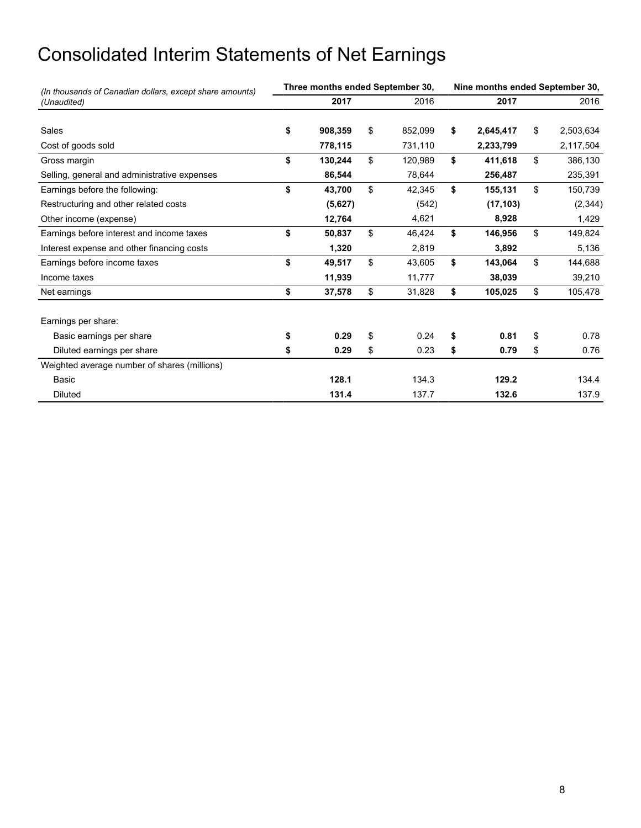# Consolidated Interim Statements of Net Earnings

| (In thousands of Canadian dollars, except share amounts) | Three months ended September 30, |               | Nine months ended September 30, |           |    |           |  |  |
|----------------------------------------------------------|----------------------------------|---------------|---------------------------------|-----------|----|-----------|--|--|
| (Unaudited)                                              | 2017                             | 2016          |                                 | 2017      |    | 2016      |  |  |
|                                                          |                                  |               |                                 |           |    |           |  |  |
| <b>Sales</b>                                             | \$<br>908,359                    | \$<br>852,099 | \$                              | 2,645,417 | \$ | 2,503,634 |  |  |
| Cost of goods sold                                       | 778,115                          | 731,110       |                                 | 2,233,799 |    | 2,117,504 |  |  |
| Gross margin                                             | \$<br>130,244                    | \$<br>120,989 | \$                              | 411,618   | \$ | 386,130   |  |  |
| Selling, general and administrative expenses             | 86,544                           | 78,644        |                                 | 256,487   |    | 235,391   |  |  |
| Earnings before the following:                           | \$<br>43,700                     | \$<br>42,345  | \$                              | 155,131   | \$ | 150,739   |  |  |
| Restructuring and other related costs                    | (5,627)                          | (542)         |                                 | (17, 103) |    | (2, 344)  |  |  |
| Other income (expense)                                   | 12,764                           | 4,621         |                                 | 8,928     |    | 1,429     |  |  |
| Earnings before interest and income taxes                | \$<br>50,837                     | \$<br>46,424  | \$                              | 146,956   | \$ | 149,824   |  |  |
| Interest expense and other financing costs               | 1,320                            | 2,819         |                                 | 3,892     |    | 5,136     |  |  |
| Earnings before income taxes                             | \$<br>49,517                     | \$<br>43,605  | \$                              | 143,064   | \$ | 144,688   |  |  |
| Income taxes                                             | 11,939                           | 11,777        |                                 | 38,039    |    | 39,210    |  |  |
| Net earnings                                             | \$<br>37,578                     | \$<br>31,828  | \$                              | 105,025   | \$ | 105,478   |  |  |
| Earnings per share:                                      |                                  |               |                                 |           |    |           |  |  |
| Basic earnings per share                                 | \$<br>0.29                       | \$<br>0.24    | \$                              | 0.81      | \$ | 0.78      |  |  |
| Diluted earnings per share                               | \$<br>0.29                       | \$<br>0.23    | \$                              | 0.79      | \$ | 0.76      |  |  |
| Weighted average number of shares (millions)             |                                  |               |                                 |           |    |           |  |  |
| Basic                                                    | 128.1                            | 134.3         |                                 | 129.2     |    | 134.4     |  |  |
| <b>Diluted</b>                                           | 131.4                            | 137.7         |                                 | 132.6     |    | 137.9     |  |  |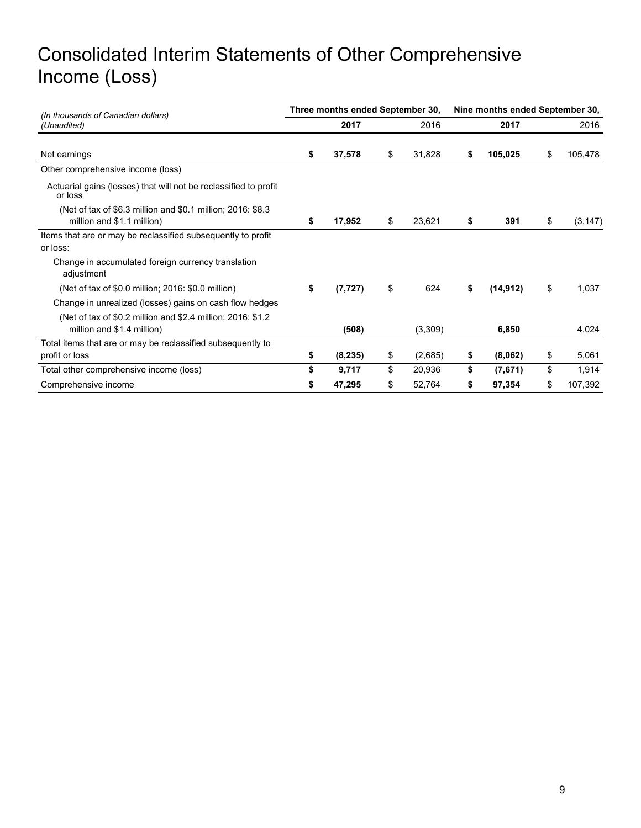## Consolidated Interim Statements of Other Comprehensive Income (Loss)

| (In thousands of Canadian dollars)                                                        |    | Three months ended September 30, |               | Nine months ended September 30, |           |    |          |  |  |
|-------------------------------------------------------------------------------------------|----|----------------------------------|---------------|---------------------------------|-----------|----|----------|--|--|
| (Unaudited)                                                                               |    | 2017                             | 2016          |                                 | 2017      |    | 2016     |  |  |
| Net earnings                                                                              | \$ | 37,578                           | \$<br>31,828  | \$                              | 105,025   | \$ | 105,478  |  |  |
| Other comprehensive income (loss)                                                         |    |                                  |               |                                 |           |    |          |  |  |
| Actuarial gains (losses) that will not be reclassified to profit<br>or loss               |    |                                  |               |                                 |           |    |          |  |  |
| (Net of tax of \$6.3 million and \$0.1 million, 2016: \$8.3<br>million and \$1.1 million) | S  | 17,952                           | \$<br>23,621  | \$                              | 391       | \$ | (3, 147) |  |  |
| Items that are or may be reclassified subsequently to profit<br>or loss:                  |    |                                  |               |                                 |           |    |          |  |  |
| Change in accumulated foreign currency translation<br>adjustment                          |    |                                  |               |                                 |           |    |          |  |  |
| (Net of tax of \$0.0 million, 2016: \$0.0 million)                                        | \$ | (7, 727)                         | \$<br>624     | \$                              | (14, 912) | \$ | 1,037    |  |  |
| Change in unrealized (losses) gains on cash flow hedges                                   |    |                                  |               |                                 |           |    |          |  |  |
| (Net of tax of \$0.2 million and \$2.4 million; 2016: \$1.2<br>million and \$1.4 million) |    | (508)                            | (3,309)       |                                 | 6,850     |    | 4,024    |  |  |
| Total items that are or may be reclassified subsequently to                               |    |                                  |               |                                 |           |    |          |  |  |
| profit or loss                                                                            | \$ | (8, 235)                         | \$<br>(2,685) | \$                              | (8,062)   | \$ | 5,061    |  |  |
| Total other comprehensive income (loss)                                                   | \$ | 9,717                            | \$<br>20,936  | \$                              | (7,671)   | \$ | 1,914    |  |  |
| Comprehensive income                                                                      | \$ | 47,295                           | \$<br>52,764  | \$                              | 97,354    | \$ | 107,392  |  |  |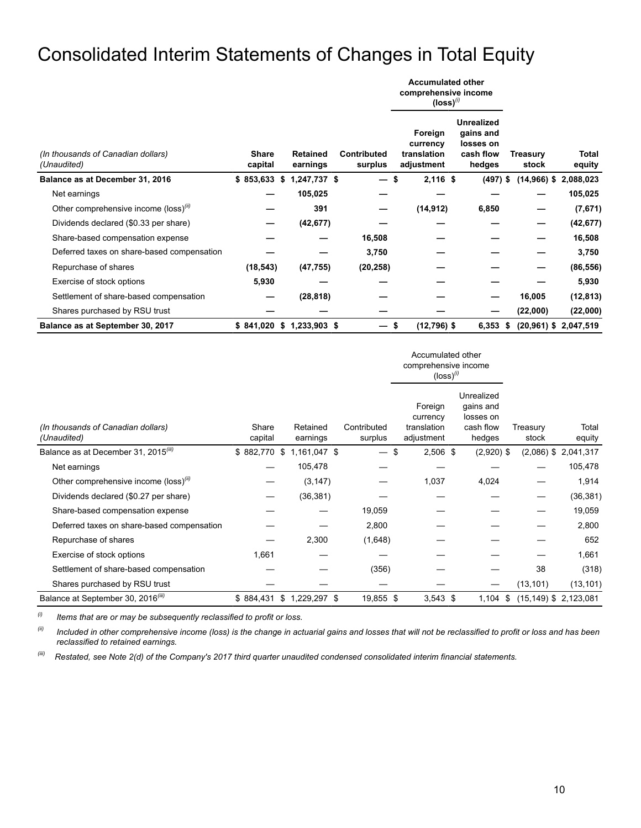### Consolidated Interim Statements of Changes in Total Equity

|                                                   |                         |    |                             |                               | <b>Accumulated other</b><br>comprehensive income<br>$(logs)$ <sup>(i)</sup> |                                                                    |   |                          |                         |
|---------------------------------------------------|-------------------------|----|-----------------------------|-------------------------------|-----------------------------------------------------------------------------|--------------------------------------------------------------------|---|--------------------------|-------------------------|
| (In thousands of Canadian dollars)<br>(Unaudited) | <b>Share</b><br>capital |    | <b>Retained</b><br>earnings | <b>Contributed</b><br>surplus | Foreign<br>currency<br>translation<br>adjustment                            | <b>Unrealized</b><br>gains and<br>losses on<br>cash flow<br>hedges |   | <b>Treasury</b><br>stock | Total<br>equity         |
| Balance as at December 31, 2016                   | $$853,633$ \$           |    | 1,247,737 \$                |                               | $2,116$ \$<br>\$                                                            | $(497)$ \$                                                         |   | $(14,966)$ \$            | 2,088,023               |
| Net earnings                                      |                         |    | 105,025                     |                               |                                                                             |                                                                    |   |                          | 105,025                 |
| Other comprehensive income (loss) $(0)$           |                         |    | 391                         |                               | (14, 912)                                                                   | 6,850                                                              |   |                          | (7,671)                 |
| Dividends declared (\$0.33 per share)             |                         |    | (42, 677)                   |                               |                                                                             |                                                                    |   |                          | (42, 677)               |
| Share-based compensation expense                  |                         |    |                             | 16,508                        |                                                                             |                                                                    |   |                          | 16,508                  |
| Deferred taxes on share-based compensation        |                         |    |                             | 3,750                         |                                                                             |                                                                    |   |                          | 3,750                   |
| Repurchase of shares                              | (18, 543)               |    | (47, 755)                   | (20, 258)                     |                                                                             |                                                                    |   |                          | (86, 556)               |
| Exercise of stock options                         | 5,930                   |    |                             |                               |                                                                             |                                                                    |   |                          | 5,930                   |
| Settlement of share-based compensation            |                         |    | (28, 818)                   |                               |                                                                             |                                                                    |   | 16,005                   | (12, 813)               |
| Shares purchased by RSU trust                     |                         |    |                             |                               |                                                                             |                                                                    |   | (22,000)                 | (22,000)                |
| Balance as at September 30, 2017                  | \$841,020               | s. | 1,233,903 \$                |                               | (12,796) \$<br>\$                                                           | 6,353                                                              | S |                          | $(20,961)$ \$ 2,047,519 |

|                                                   |                  |                      |                        | Accumulated other<br>comprehensive income<br>$(logs)$ <sup>(i)</sup> |                                      |          |           |                          |
|---------------------------------------------------|------------------|----------------------|------------------------|----------------------------------------------------------------------|--------------------------------------|----------|-----------|--------------------------|
|                                                   |                  |                      |                        | Foreign<br>currency                                                  | Unrealized<br>gains and<br>losses on |          |           |                          |
| (In thousands of Canadian dollars)<br>(Unaudited) | Share<br>capital | Retained<br>earnings | Contributed<br>surplus | translation<br>adjustment                                            | cash flow<br>hedges                  | Treasury | stock     | Total<br>equity          |
| Balance as at December 31, 2015 <sup>(iii)</sup>  | \$882,770 \$     | 1,161,047 \$         |                        | \$<br>$2,506$ \$                                                     | $(2,920)$ \$                         |          |           | $(2,086)$ \$ 2,041,317   |
| Net earnings                                      |                  | 105,478              |                        |                                                                      |                                      |          |           | 105,478                  |
| Other comprehensive income (loss) <sup>(ii)</sup> |                  | (3, 147)             |                        | 1,037                                                                | 4,024                                |          |           | 1,914                    |
| Dividends declared (\$0.27 per share)             |                  | (36, 381)            |                        |                                                                      |                                      |          |           | (36, 381)                |
| Share-based compensation expense                  |                  |                      | 19,059                 |                                                                      |                                      |          |           | 19,059                   |
| Deferred taxes on share-based compensation        |                  |                      | 2,800                  |                                                                      |                                      |          |           | 2,800                    |
| Repurchase of shares                              |                  | 2,300                | (1,648)                |                                                                      |                                      |          |           | 652                      |
| Exercise of stock options                         | 1,661            |                      |                        |                                                                      |                                      |          |           | 1,661                    |
| Settlement of share-based compensation            |                  |                      | (356)                  |                                                                      |                                      |          | 38        | (318)                    |
| Shares purchased by RSU trust                     |                  |                      |                        |                                                                      |                                      |          | (13, 101) | (13, 101)                |
| Balance at September 30, 2016 <sup>(iii)</sup>    | \$884,431        | \$<br>1,229,297 \$   | 19,855 \$              | $3,543$ \$                                                           | 1,104                                | -\$      |           | $(15, 149)$ \$ 2,123,081 |

*(i) Items that are or may be subsequently reclassified to profit or loss.* 

*(ii) Included in other comprehensive income (loss) is the change in actuarial gains and losses that will not be reclassified to profit or loss and has been reclassified to retained earnings.* 

*(iii) Restated, see Note 2(d) of the Company's 2017 third quarter unaudited condensed consolidated interim financial statements.*